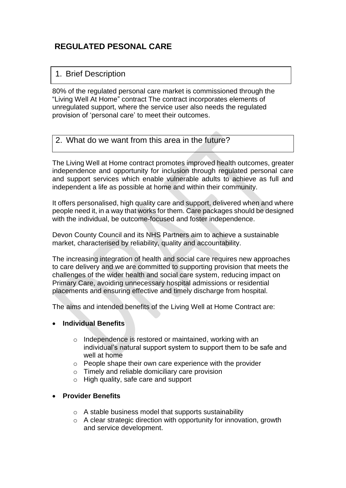# **REGULATED PESONAL CARE**

# 1. Brief Description

80% of the regulated personal care market is commissioned through the "Living Well At Home" contract The contract incorporates elements of unregulated support, where the service user also needs the regulated provision of 'personal care' to meet their outcomes.

### 2. What do we want from this area in the future?

The Living Well at Home contract promotes improved health outcomes, greater independence and opportunity for inclusion through regulated personal care and support services which enable vulnerable adults to achieve as full and independent a life as possible at home and within their community.

It offers personalised, high quality care and support, delivered when and where people need it, in a way that works for them. Care packages should be designed with the individual, be outcome-focused and foster independence.

Devon County Council and its NHS Partners aim to achieve a sustainable market, characterised by reliability, quality and accountability.

The increasing integration of health and social care requires new approaches to care delivery and we are committed to supporting provision that meets the challenges of the wider health and social care system, reducing impact on Primary Care, avoiding unnecessary hospital admissions or residential placements and ensuring effective and timely discharge from hospital.

The aims and intended benefits of the Living Well at Home Contract are:

- **Individual Benefits**
	- o Independence is restored or maintained, working with an individual's natural support system to support them to be safe and well at home
	- o People shape their own care experience with the provider
	- o Timely and reliable domiciliary care provision
	- o High quality, safe care and support

#### • **Provider Benefits**

- o A stable business model that supports sustainability
- $\circ$  A clear strategic direction with opportunity for innovation, growth and service development.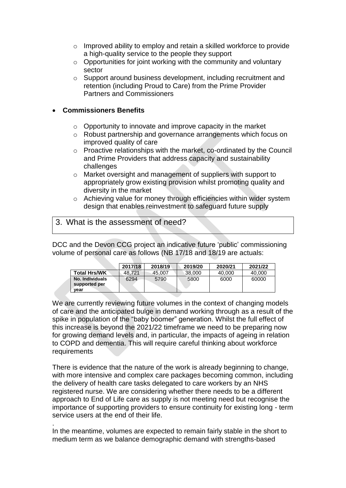- o Improved ability to employ and retain a skilled workforce to provide a high-quality service to the people they support
- $\circ$  Opportunities for joint working with the community and voluntary sector
- o Support around business development, including recruitment and retention (including Proud to Care) from the Prime Provider Partners and Commissioners

#### • **Commissioners Benefits**

- o Opportunity to innovate and improve capacity in the market
- o Robust partnership and governance arrangements which focus on improved quality of care
- o Proactive relationships with the market, co-ordinated by the Council and Prime Providers that address capacity and sustainability challenges
- o Market oversight and management of suppliers with support to appropriately grow existing provision whilst promoting quality and diversity in the market
- o Achieving value for money through efficiencies within wider system design that enables reinvestment to safeguard future supply

### 3. What is the assessment of need?

.

DCC and the Devon CCG project an indicative future 'public' commissioning volume of personal care as follows (NB 17/18 and 18/19 are actuals:

|                                          | 2017/18 | 2018/19 | 2019/20 | 2020/21 | 2021/22 |
|------------------------------------------|---------|---------|---------|---------|---------|
| <b>Total Hrs/WK</b>                      | 48.721  | 45.007  | 38.000  | 40.000  | 40.000  |
| No. Individuals<br>supported per<br>vear | 6294    | 5790    | 5800    | 6000    | 60000   |

We are currently reviewing future volumes in the context of changing models of care and the anticipated bulge in demand working through as a result of the spike in population of the "baby boomer" generation. Whilst the full effect of this increase is beyond the 2021/22 timeframe we need to be preparing now for growing demand levels and, in particular, the impacts of ageing in relation to COPD and dementia. This will require careful thinking about workforce requirements

There is evidence that the nature of the work is already beginning to change, with more intensive and complex care packages becoming common, including the delivery of health care tasks delegated to care workers by an NHS registered nurse. We are considering whether there needs to be a different approach to End of Life care as supply is not meeting need but recognise the importance of supporting providers to ensure continuity for existing long - term service users at the end of their life.

In the meantime, volumes are expected to remain fairly stable in the short to medium term as we balance demographic demand with strengths-based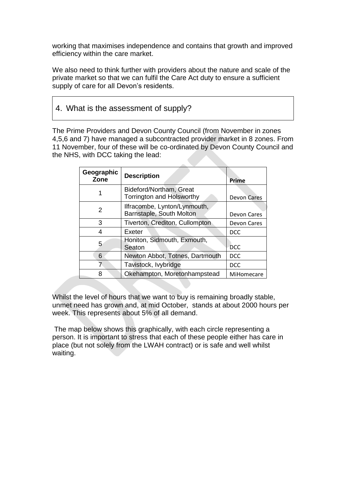working that maximises independence and contains that growth and improved efficiency within the care market.

We also need to think further with providers about the nature and scale of the private market so that we can fulfil the Care Act duty to ensure a sufficient supply of care for all Devon's residents.

## 4. What is the assessment of supply?

The Prime Providers and Devon County Council (from November in zones 4,5,6 and 7) have managed a subcontracted provider market in 8 zones. From 11 November, four of these will be co-ordinated by Devon County Council and the NHS, with DCC taking the lead:

| Geographic<br>Zone | <b>Description</b>                                          | Prime              |
|--------------------|-------------------------------------------------------------|--------------------|
| 1                  | Bideford/Northam, Great<br><b>Torrington and Holsworthy</b> | <b>Devon Cares</b> |
| 2                  | Ilfracombe, Lynton/Lynmouth,<br>Barnstaple, South Molton    | Devon Cares        |
| 3                  | Tiverton, Crediton, Cullompton                              | Devon Cares        |
| 4                  | Exeter                                                      | <b>DCC</b>         |
| 5                  | Honiton, Sidmouth, Exmouth,<br>Seaton                       | <b>DCC</b>         |
| 6                  | Newton Abbot, Totnes, Dartmouth                             | <b>DCC</b>         |
| 7                  | Tavistock, Ivybridge                                        | <b>DCC</b>         |
| 8                  | Okehampton, Moretonhampstead                                | MiHomecare         |

Whilst the level of hours that we want to buy is remaining broadly stable. unmet need has grown and, at mid October, stands at about 2000 hours per week. This represents about 5% of all demand.

The map below shows this graphically, with each circle representing a person. It is important to stress that each of these people either has care in place (but not solely from the LWAH contract) or is safe and well whilst waiting.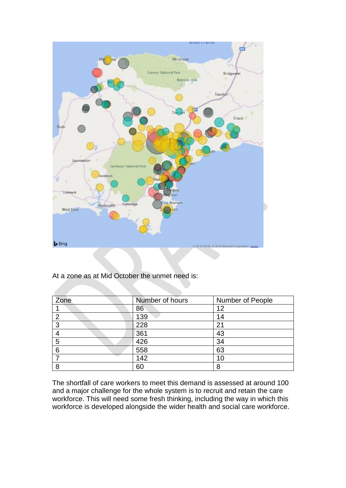

At a zone as at Mid October the unmet need is:

| Zone | Number of hours | <b>Number of People</b> |
|------|-----------------|-------------------------|
|      | 86              | 12                      |
| 2    | 139             | 14                      |
| 3    | 228             | 21                      |
|      | 361             | 43                      |
| 5    | 426             | 34                      |
| 6    | 558             | 63                      |
|      | 142             | 10                      |
| 8    | 60              | 8                       |

The shortfall of care workers to meet this demand is assessed at around 100 and a major challenge for the whole system is to recruit and retain the care workforce. This will need some fresh thinking, including the way in which this workforce is developed alongside the wider health and social care workforce.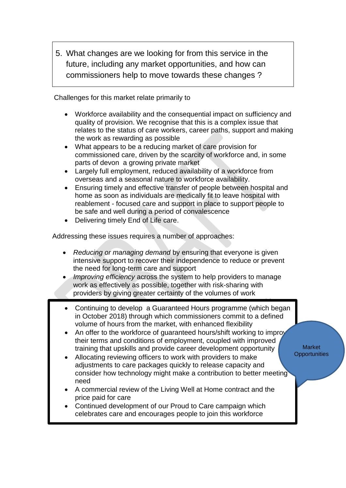5. What changes are we looking for from this service in the future, including any market opportunities, and how can commissioners help to move towards these changes ?

Challenges for this market relate primarily to

- Workforce availability and the consequential impact on sufficiency and quality of provision. We recognise that this is a complex issue that relates to the status of care workers, career paths, support and making the work as rewarding as possible
- What appears to be a reducing market of care provision for commissioned care, driven by the scarcity of workforce and, in some parts of devon a growing private market
- Largely full employment, reduced availability of a workforce from overseas and a seasonal nature to workforce availability.
- Ensuring timely and effective transfer of people between hospital and home as soon as individuals are medically fit to leave hospital with reablement - focused care and support in place to support people to be safe and well during a period of convalescence
- Delivering timely End of Life care.

Addressing these issues requires a number of approaches:

- *Reducing or managing demand* by ensuring that everyone is given intensive support to recover their independence to reduce or prevent the need for long-term care and support
- *Improving efficiency* across the system to help providers to manage work as effectively as possible, together with risk-sharing with providers by giving greater certainty of the volumes of work
- *Increasing workforce supply* including a rebalancing of the workforce to • Continuing to develop a Guaranteed Hours programme (which began in October 2018) through which commissioners commit to a defined volume of hours from the market, with enhanced flexibility
- An offer to the workforce of guaranteed hours/shift working to improve training that upskills and provide career development opportunity their terms and conditions of employment, coupled with improved
	- Allocating reviewing officers to work with providers to make adjustments to care packages quickly to release capacity and consider how technology might make a contribution to better meeting need
	- A commercial review of the Living Well at Home contract and the price paid for care
	- Continued development of our Proud to Care campaign which celebrates care and encourages people to join this workforce

**Market Opportunities**